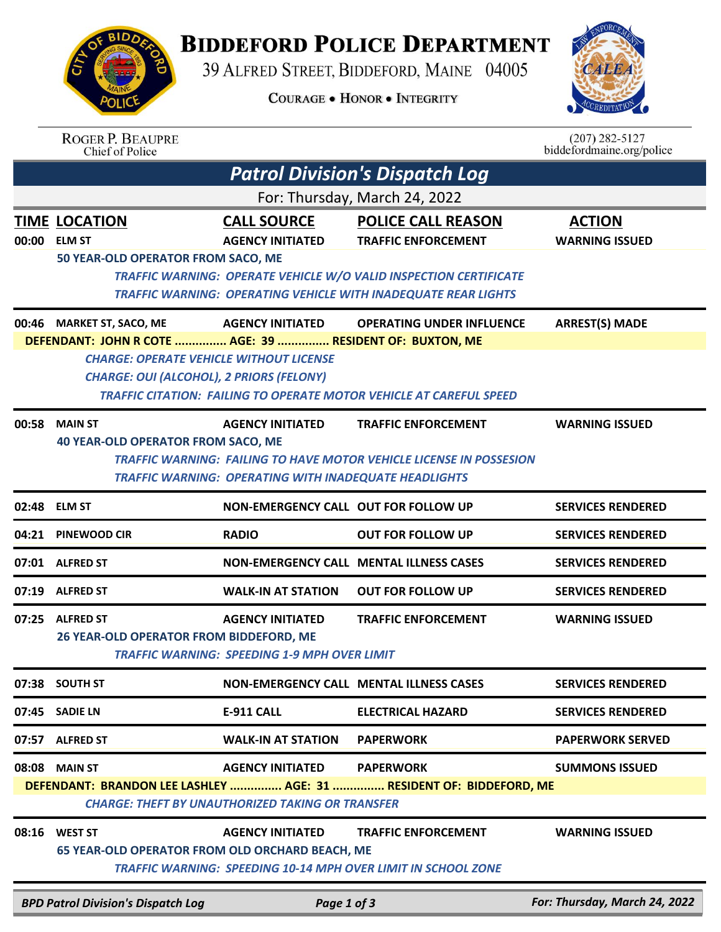## **BIDDEFORD POLICE DEPARTMENT**

39 ALFRED STREET, BIDDEFORD, MAINE 04005

**COURAGE . HONOR . INTEGRITY** 



|       | <b>ROGER P. BEAUPRE</b><br>Chief of Police                                                                                                                                                 |                                                                                                               |                                                                                                                                                                                                       | $(207)$ 282-5127<br>biddefordmaine.org/police  |  |  |  |
|-------|--------------------------------------------------------------------------------------------------------------------------------------------------------------------------------------------|---------------------------------------------------------------------------------------------------------------|-------------------------------------------------------------------------------------------------------------------------------------------------------------------------------------------------------|------------------------------------------------|--|--|--|
|       |                                                                                                                                                                                            |                                                                                                               | <b>Patrol Division's Dispatch Log</b>                                                                                                                                                                 |                                                |  |  |  |
|       | For: Thursday, March 24, 2022                                                                                                                                                              |                                                                                                               |                                                                                                                                                                                                       |                                                |  |  |  |
| 00:00 | <b>TIME LOCATION</b><br><b>ELM ST</b><br>50 YEAR-OLD OPERATOR FROM SACO, ME                                                                                                                | <b>CALL SOURCE</b><br><b>AGENCY INITIATED</b>                                                                 | <b>POLICE CALL REASON</b><br><b>TRAFFIC ENFORCEMENT</b><br>TRAFFIC WARNING: OPERATE VEHICLE W/O VALID INSPECTION CERTIFICATE<br><b>TRAFFIC WARNING: OPERATING VEHICLE WITH INADEQUATE REAR LIGHTS</b> | <b>ACTION</b><br><b>WARNING ISSUED</b>         |  |  |  |
|       | 00:46 MARKET ST, SACO, ME<br>DEFENDANT: JOHN R COTE  AGE: 39  RESIDENT OF: BUXTON, ME<br><b>CHARGE: OPERATE VEHICLE WITHOUT LICENSE</b><br><b>CHARGE: OUI (ALCOHOL), 2 PRIORS (FELONY)</b> | <b>AGENCY INITIATED</b>                                                                                       | <b>OPERATING UNDER INFLUENCE</b><br><b>TRAFFIC CITATION: FAILING TO OPERATE MOTOR VEHICLE AT CAREFUL SPEED</b>                                                                                        | <b>ARREST(S) MADE</b>                          |  |  |  |
| 00:58 | <b>MAIN ST</b><br><b>40 YEAR-OLD OPERATOR FROM SACO, ME</b>                                                                                                                                | <b>AGENCY INITIATED</b><br><b>TRAFFIC WARNING: OPERATING WITH INADEQUATE HEADLIGHTS</b>                       | <b>TRAFFIC ENFORCEMENT</b><br><b>TRAFFIC WARNING: FAILING TO HAVE MOTOR VEHICLE LICENSE IN POSSESION</b>                                                                                              | <b>WARNING ISSUED</b>                          |  |  |  |
|       | 02:48 ELM ST                                                                                                                                                                               | NON-EMERGENCY CALL OUT FOR FOLLOW UP                                                                          |                                                                                                                                                                                                       | <b>SERVICES RENDERED</b>                       |  |  |  |
| 04:21 | <b>PINEWOOD CIR</b>                                                                                                                                                                        | <b>RADIO</b>                                                                                                  | <b>OUT FOR FOLLOW UP</b>                                                                                                                                                                              | <b>SERVICES RENDERED</b>                       |  |  |  |
| 07:01 | <b>ALFRED ST</b>                                                                                                                                                                           |                                                                                                               | NON-EMERGENCY CALL MENTAL ILLNESS CASES                                                                                                                                                               | <b>SERVICES RENDERED</b>                       |  |  |  |
| 07:19 | <b>ALFRED ST</b>                                                                                                                                                                           | <b>WALK-IN AT STATION</b>                                                                                     | <b>OUT FOR FOLLOW UP</b>                                                                                                                                                                              | <b>SERVICES RENDERED</b>                       |  |  |  |
| 07:25 | <b>ALFRED ST</b><br>26 YEAR-OLD OPERATOR FROM BIDDEFORD, ME                                                                                                                                | <b>AGENCY INITIATED</b><br><b>TRAFFIC WARNING: SPEEDING 1-9 MPH OVER LIMIT</b>                                | <b>TRAFFIC ENFORCEMENT</b>                                                                                                                                                                            | <b>WARNING ISSUED</b>                          |  |  |  |
|       | 07:38 SOUTH ST                                                                                                                                                                             |                                                                                                               | <b>NON-EMERGENCY CALL MENTAL ILLNESS CASES</b>                                                                                                                                                        | <b>SERVICES RENDERED</b>                       |  |  |  |
|       | 07:45 SADIE LN                                                                                                                                                                             | E-911 CALL                                                                                                    | <b>ELECTRICAL HAZARD</b>                                                                                                                                                                              | <b>SERVICES RENDERED</b>                       |  |  |  |
|       | 07:57 ALFRED ST                                                                                                                                                                            | <b>WALK-IN AT STATION</b>                                                                                     | <b>PAPERWORK</b>                                                                                                                                                                                      | <b>PAPERWORK SERVED</b>                        |  |  |  |
|       | 08:08 MAIN ST<br>08:16 WEST ST<br>65 YEAR-OLD OPERATOR FROM OLD ORCHARD BEACH, ME                                                                                                          | <b>AGENCY INITIATED</b><br><b>CHARGE: THEFT BY UNAUTHORIZED TAKING OR TRANSFER</b><br><b>AGENCY INITIATED</b> | <b>PAPERWORK</b><br>DEFENDANT: BRANDON LEE LASHLEY  AGE: 31  RESIDENT OF: BIDDEFORD, ME<br><b>TRAFFIC ENFORCEMENT</b>                                                                                 | <b>SUMMONS ISSUED</b><br><b>WARNING ISSUED</b> |  |  |  |
|       | <b>BPD Patrol Division's Dispatch Log</b>                                                                                                                                                  | Page 1 of 3                                                                                                   | <b>TRAFFIC WARNING: SPEEDING 10-14 MPH OVER LIMIT IN SCHOOL ZONE</b>                                                                                                                                  | For: Thursday, March 24, 2022                  |  |  |  |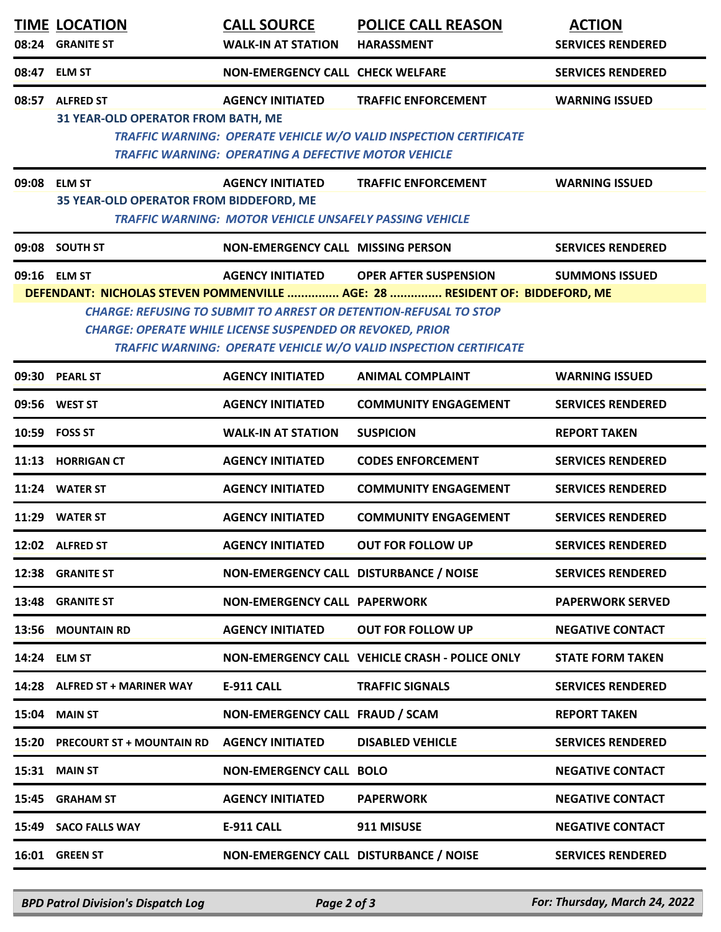|       | <b>TIME LOCATION</b><br>08:24 GRANITE ST                                                                                                                                                                                                                                                                                                                                                             | <b>CALL SOURCE</b><br><b>WALK-IN AT STATION</b>                                           | <b>POLICE CALL REASON</b><br><b>HARASSMENT</b>                                                  | <b>ACTION</b><br><b>SERVICES RENDERED</b> |  |  |
|-------|------------------------------------------------------------------------------------------------------------------------------------------------------------------------------------------------------------------------------------------------------------------------------------------------------------------------------------------------------------------------------------------------------|-------------------------------------------------------------------------------------------|-------------------------------------------------------------------------------------------------|-------------------------------------------|--|--|
|       | 08:47 ELM ST                                                                                                                                                                                                                                                                                                                                                                                         | <b>NON-EMERGENCY CALL CHECK WELFARE</b>                                                   |                                                                                                 | <b>SERVICES RENDERED</b>                  |  |  |
| 08:57 | <b>ALFRED ST</b><br>31 YEAR-OLD OPERATOR FROM BATH, ME                                                                                                                                                                                                                                                                                                                                               | <b>AGENCY INITIATED</b><br><b>TRAFFIC WARNING: OPERATING A DEFECTIVE MOTOR VEHICLE</b>    | <b>TRAFFIC ENFORCEMENT</b><br>TRAFFIC WARNING: OPERATE VEHICLE W/O VALID INSPECTION CERTIFICATE | <b>WARNING ISSUED</b>                     |  |  |
| 09:08 | <b>ELM ST</b><br>35 YEAR-OLD OPERATOR FROM BIDDEFORD, ME                                                                                                                                                                                                                                                                                                                                             | <b>AGENCY INITIATED</b><br><b>TRAFFIC WARNING: MOTOR VEHICLE UNSAFELY PASSING VEHICLE</b> | <b>TRAFFIC ENFORCEMENT</b>                                                                      | <b>WARNING ISSUED</b>                     |  |  |
|       | 09:08 SOUTH ST                                                                                                                                                                                                                                                                                                                                                                                       | <b>NON-EMERGENCY CALL MISSING PERSON</b>                                                  |                                                                                                 | <b>SERVICES RENDERED</b>                  |  |  |
|       | 09:16 ELM ST<br><b>AGENCY INITIATED</b><br><b>OPER AFTER SUSPENSION</b><br><b>SUMMONS ISSUED</b><br>DEFENDANT: NICHOLAS STEVEN POMMENVILLE  AGE: 28  RESIDENT OF: BIDDEFORD, ME<br><b>CHARGE: REFUSING TO SUBMIT TO ARREST OR DETENTION-REFUSAL TO STOP</b><br><b>CHARGE: OPERATE WHILE LICENSE SUSPENDED OR REVOKED, PRIOR</b><br>TRAFFIC WARNING: OPERATE VEHICLE W/O VALID INSPECTION CERTIFICATE |                                                                                           |                                                                                                 |                                           |  |  |
|       | 09:30 PEARL ST                                                                                                                                                                                                                                                                                                                                                                                       | <b>AGENCY INITIATED</b>                                                                   | <b>ANIMAL COMPLAINT</b>                                                                         | <b>WARNING ISSUED</b>                     |  |  |
| 09:56 | <b>WEST ST</b>                                                                                                                                                                                                                                                                                                                                                                                       | <b>AGENCY INITIATED</b>                                                                   | <b>COMMUNITY ENGAGEMENT</b>                                                                     | <b>SERVICES RENDERED</b>                  |  |  |
|       | 10:59 FOSS ST                                                                                                                                                                                                                                                                                                                                                                                        | <b>WALK-IN AT STATION</b>                                                                 | <b>SUSPICION</b>                                                                                | <b>REPORT TAKEN</b>                       |  |  |
| 11:13 | <b>HORRIGAN CT</b>                                                                                                                                                                                                                                                                                                                                                                                   | <b>AGENCY INITIATED</b>                                                                   | <b>CODES ENFORCEMENT</b>                                                                        | <b>SERVICES RENDERED</b>                  |  |  |
|       | 11:24 WATER ST                                                                                                                                                                                                                                                                                                                                                                                       | <b>AGENCY INITIATED</b>                                                                   | <b>COMMUNITY ENGAGEMENT</b>                                                                     | <b>SERVICES RENDERED</b>                  |  |  |
| 11:29 | <b>WATER ST</b>                                                                                                                                                                                                                                                                                                                                                                                      | <b>AGENCY INITIATED</b>                                                                   | <b>COMMUNITY ENGAGEMENT</b>                                                                     | <b>SERVICES RENDERED</b>                  |  |  |
|       | 12:02 ALFRED ST                                                                                                                                                                                                                                                                                                                                                                                      | <b>AGENCY INITIATED</b>                                                                   | <b>OUT FOR FOLLOW UP</b>                                                                        | <b>SERVICES RENDERED</b>                  |  |  |
|       | 12:38 GRANITE ST                                                                                                                                                                                                                                                                                                                                                                                     | NON-EMERGENCY CALL DISTURBANCE / NOISE                                                    |                                                                                                 | <b>SERVICES RENDERED</b>                  |  |  |
|       | 13:48 GRANITE ST                                                                                                                                                                                                                                                                                                                                                                                     | <b>NON-EMERGENCY CALL PAPERWORK</b>                                                       |                                                                                                 | <b>PAPERWORK SERVED</b>                   |  |  |
|       | 13:56 MOUNTAIN RD                                                                                                                                                                                                                                                                                                                                                                                    | <b>AGENCY INITIATED</b>                                                                   | <b>OUT FOR FOLLOW UP</b>                                                                        | <b>NEGATIVE CONTACT</b>                   |  |  |
|       | 14:24 ELM ST                                                                                                                                                                                                                                                                                                                                                                                         |                                                                                           | NON-EMERGENCY CALL VEHICLE CRASH - POLICE ONLY                                                  | <b>STATE FORM TAKEN</b>                   |  |  |
|       | 14:28 ALFRED ST + MARINER WAY                                                                                                                                                                                                                                                                                                                                                                        | <b>E-911 CALL</b>                                                                         | <b>TRAFFIC SIGNALS</b>                                                                          | <b>SERVICES RENDERED</b>                  |  |  |
|       | 15:04 MAIN ST                                                                                                                                                                                                                                                                                                                                                                                        | NON-EMERGENCY CALL FRAUD / SCAM                                                           |                                                                                                 | <b>REPORT TAKEN</b>                       |  |  |
|       | 15:20 PRECOURT ST + MOUNTAIN RD                                                                                                                                                                                                                                                                                                                                                                      | <b>AGENCY INITIATED</b>                                                                   | <b>DISABLED VEHICLE</b>                                                                         | <b>SERVICES RENDERED</b>                  |  |  |
| 15:31 | <b>MAIN ST</b>                                                                                                                                                                                                                                                                                                                                                                                       | <b>NON-EMERGENCY CALL BOLO</b>                                                            |                                                                                                 | <b>NEGATIVE CONTACT</b>                   |  |  |
| 15:45 | <b>GRAHAM ST</b>                                                                                                                                                                                                                                                                                                                                                                                     | <b>AGENCY INITIATED</b>                                                                   | <b>PAPERWORK</b>                                                                                | <b>NEGATIVE CONTACT</b>                   |  |  |
|       | 15:49 SACO FALLS WAY                                                                                                                                                                                                                                                                                                                                                                                 | <b>E-911 CALL</b>                                                                         | 911 MISUSE                                                                                      | <b>NEGATIVE CONTACT</b>                   |  |  |
|       | 16:01 GREEN ST                                                                                                                                                                                                                                                                                                                                                                                       | NON-EMERGENCY CALL DISTURBANCE / NOISE                                                    |                                                                                                 | <b>SERVICES RENDERED</b>                  |  |  |

*BPD Patrol Division's Dispatch Log Page 2 of 3 For: Thursday, March 24, 2022*